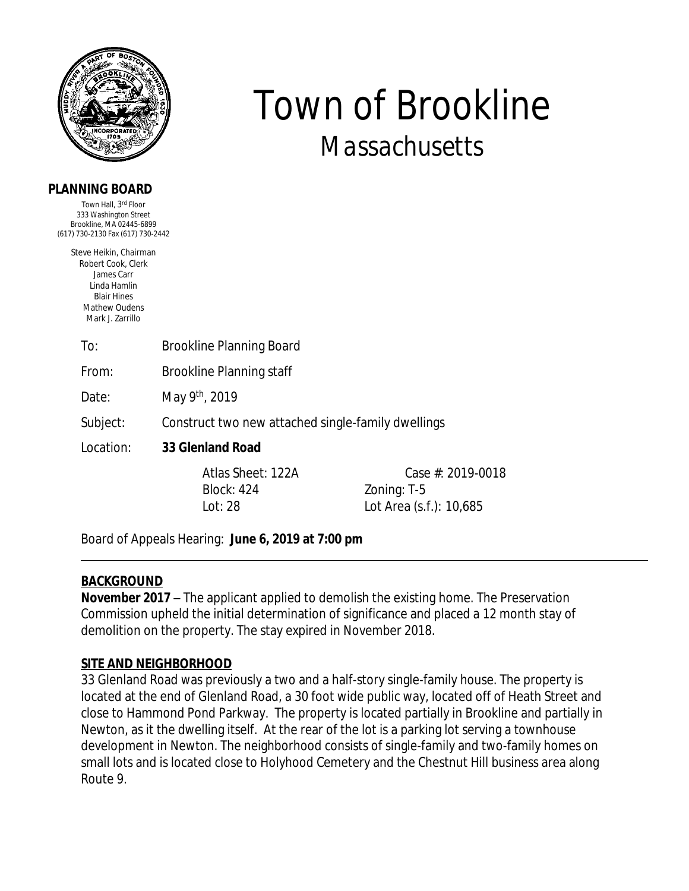

#### **PLANNING BOARD**

Town Hall, 3<sup>rd</sup> Floor 333 Washington Street Brookline, MA 02445-6899 (617) 730-2130 Fax (617) 730-2442

> Steve Heikin, Chairman Robert Cook, Clerk James Carr Linda Hamlin Blair Hines Mathew Oudens Mark J. Zarrillo

> > To: Brookline Planning Board

From: Brookline Planning staff

Date: May 9th, 2019

Subject: Construct two new attached single-family dwellings

Location: **33 Glenland Road**

Block: 424 Zoning: T-5

Atlas Sheet: 122A Case #: 2019-0018 Lot: 28 Lot Area (s.f.): 10,685

*Town of Brookline*

*Massachusetts*

Board of Appeals Hearing: **June 6, 2019 at 7:00 pm** 

### **BACKGROUND**

**November 2017** – The applicant applied to demolish the existing home. The Preservation Commission upheld the initial determination of significance and placed a 12 month stay of demolition on the property. The stay expired in November 2018.

### **SITE AND NEIGHBORHOOD**

33 Glenland Road was previously a two and a half-story single-family house. The property is located at the end of Glenland Road, a 30 foot wide public way, located off of Heath Street and close to Hammond Pond Parkway. The property is located partially in Brookline and partially in Newton, as it the dwelling itself. At the rear of the lot is a parking lot serving a townhouse development in Newton. The neighborhood consists of single-family and two-family homes on small lots and is located close to Holyhood Cemetery and the Chestnut Hill business area along Route 9.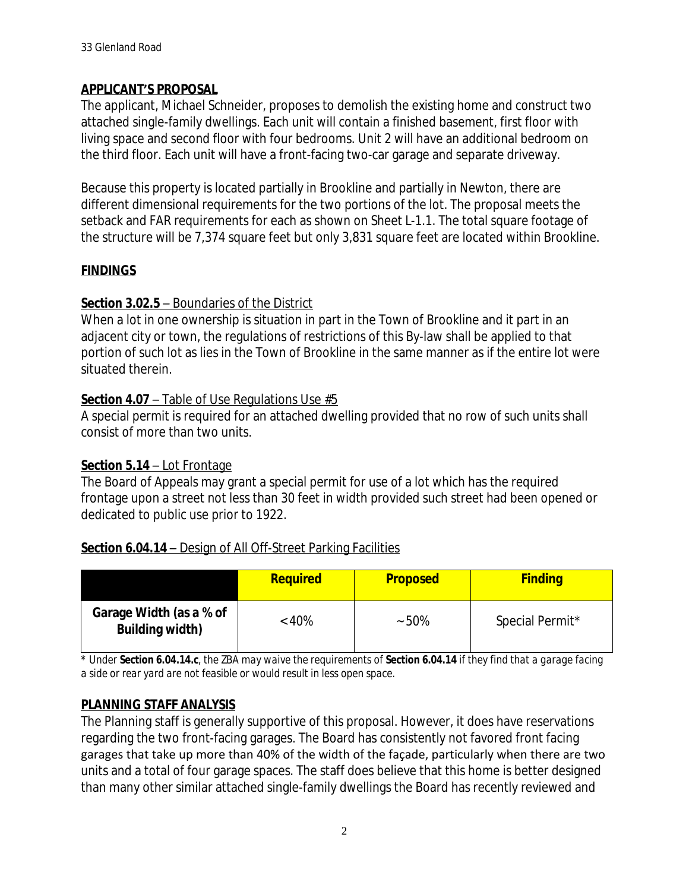### **APPLICANT'S PROPOSAL**

The applicant, Michael Schneider, proposes to demolish the existing home and construct two attached single-family dwellings. Each unit will contain a finished basement, first floor with living space and second floor with four bedrooms. Unit 2 will have an additional bedroom on the third floor. Each unit will have a front-facing two-car garage and separate driveway.

Because this property is located partially in Brookline and partially in Newton, there are different dimensional requirements for the two portions of the lot. The proposal meets the setback and FAR requirements for each as shown on Sheet L-1.1. The total square footage of the structure will be 7,374 square feet but only 3,831 square feet are located within Brookline.

# **FINDINGS**

### **Section 3.02.5** – Boundaries of the District

When a lot in one ownership is situation in part in the Town of Brookline and it part in an adjacent city or town, the regulations of restrictions of this By-law shall be applied to that portion of such lot as lies in the Town of Brookline in the same manner as if the entire lot were situated therein.

### **Section 4.07** – Table of Use Regulations Use #5

A special permit is required for an attached dwelling provided that no row of such units shall consist of more than two units.

# **Section 5.14** – Lot Frontage

The Board of Appeals may grant a special permit for use of a lot which has the required frontage upon a street not less than 30 feet in width provided such street had been opened or dedicated to public use prior to 1922.

# **Section 6.04.14** – Design of All Off-Street Parking Facilities

|                                                   | <b>Required</b> | <b>Proposed</b> | <b>Finding</b>  |
|---------------------------------------------------|-----------------|-----------------|-----------------|
| Garage Width (as a % of<br><b>Building width)</b> | $< 40\%$        | $~50\%$         | Special Permit* |

*\* Under Section 6.04.14.c, the ZBA may waive the requirements of Section 6.04.14 if they find that a garage facing a side or rear yard are not feasible or would result in less open space.* 

# **PLANNING STAFF ANALYSIS**

The Planning staff is generally supportive of this proposal. However, it does have reservations regarding the two front-facing garages. The Board has consistently not favored front facing garages that take up more than 40% of the width of the façade, particularly when there are two units and a total of four garage spaces. The staff does believe that this home is better designed than many other similar attached single-family dwellings the Board has recently reviewed and